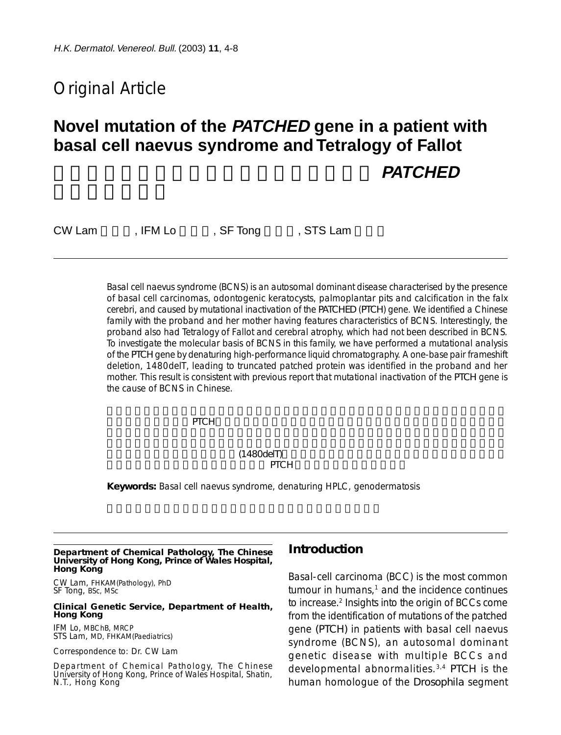# Original Article

# **Novel mutation of the PATCHED gene in a patient with basal cell naevus syndrome and Tetralogy of Fallot PATCHED**

CW Lam , IFM Lo, SF Tong , STS Lam

Basal cell naevus syndrome (BCNS) is an autosomal dominant disease characterised by the presence of basal cell carcinomas, odontogenic keratocysts, palmoplantar pits and calcification in the falx cerebri, and caused by mutational inactivation of the *PATCHED* (*PTCH*) gene. We identified a Chinese family with the proband and her mother having features characteristics of BCNS. Interestingly, the proband also had Tetralogy of Fallot and cerebral atrophy, which had not been described in BCNS. To investigate the molecular basis of BCNS in this family, we have performed a mutational analysis of the *PTCH* gene by denaturing high-performance liquid chromatography. A one-base pair frameshift deletion, 1480delT, leading to truncated patched protein was identified in the proband and her mother. This result is consistent with previous report that mutational inactivation of the *PTCH* gene is the cause of BCNS in Chinese.

腦鐮鈣化。其病因是*PTCH*基因突變性失活。我們發現一個華人家庭,其中的先証者及她的母親均

#### 現一個鹼基對的架構轉移性缺失(1480delT),導致截段性片狀蛋白。這項研究與以前的報告吻合, 即華人的痣樣基底細胞癌的病因是由於 *PTCH* 基因有突變性失活所引起。

**Keywords:** Basal cell naevus syndrome, denaturing HPLC, genodermatosis

**Department of Chemical Pathology, The Chinese University of Hong Kong, Prince of Wales Hospital, Hong Kong**

CW Lam, FHKAM(Pathology), PhD SF Tong, BSc, MSc

#### **Clinical Genetic Service, Department of Health, Hong Kong**

IFM Lo, MBChB, MRCP STS Lam, MD, FHKAM(Paediatrics)

Correspondence to: Dr. CW Lam

Department of Chemical Pathology, The Chinese University of Hong Kong, Prince of Wales Hospital, Shatin, N.T., Hong Kong

## **Introduction**

Basal-cell carcinoma (BCC) is the most common  $t$ umour in humans, $1$  and the incidence continues to increase.2 Insights into the origin of BCCs come from the identification of mutations of the patched gene *(PTCH)* in patients with basal cell naevus syndrome (BCNS), an autosomal dominant genetic disease with multiple BCCs and developmental abnormalities.3,4 *PTCH* is the human homologue of the *Drosophila* segment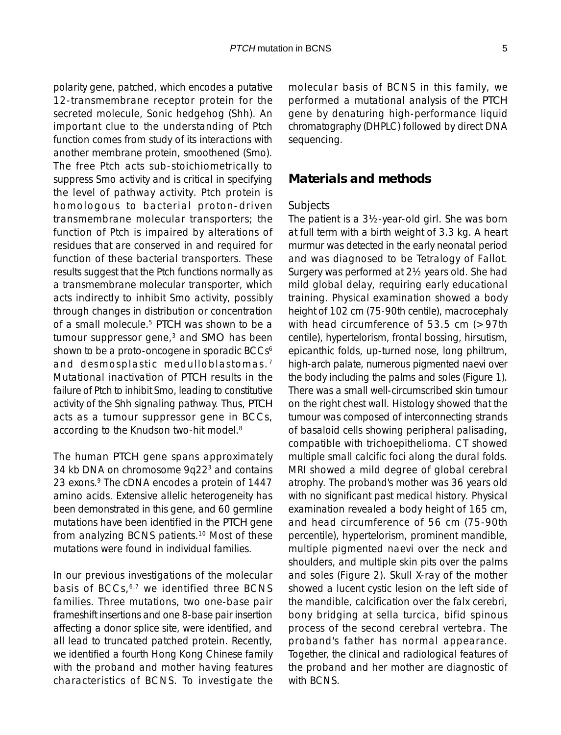polarity gene, patched, which encodes a putative 12-transmembrane receptor protein for the secreted molecule, Sonic hedgehog (Shh). An important clue to the understanding of Ptch function comes from study of its interactions with another membrane protein, smoothened (Smo). The free Ptch acts sub-stoichiometrically to suppress Smo activity and is critical in specifying the level of pathway activity. Ptch protein is homologous to bacterial proton-driven transmembrane molecular transporters; the function of Ptch is impaired by alterations of residues that are conserved in and required for function of these bacterial transporters. These results suggest that the Ptch functions normally as a transmembrane molecular transporter, which acts indirectly to inhibit Smo activity, possibly through changes in distribution or concentration of a small molecule.5 *PTCH* was shown to be a tumour suppressor gene,3 and *SMO* has been shown to be a proto-oncogene in sporadic BCCs<sup>6</sup> and desmosplastic medulloblastomas.<sup>7</sup> Mutational inactivation of *PTCH* results in the failure of Ptch to inhibit Smo, leading to constitutive activity of the Shh signaling pathway. Thus, *PTCH* acts as a tumour suppressor gene in BCCs, according to the Knudson two-hit model.<sup>8</sup>

The human *PTCH* gene spans approximately 34 kb DNA on chromosome 9q22<sup>3</sup> and contains 23 exons.<sup>9</sup> The cDNA encodes a protein of 1447 amino acids. Extensive allelic heterogeneity has been demonstrated in this gene, and 60 germline mutations have been identified in the *PTCH* gene from analyzing BCNS patients.10 Most of these mutations were found in individual families.

In our previous investigations of the molecular basis of BCCs,<sup>6,7</sup> we identified three BCNS families. Three mutations, two one-base pair frameshift insertions and one 8-base pair insertion affecting a donor splice site, were identified, and all lead to truncated patched protein. Recently, we identified a fourth Hong Kong Chinese family with the proband and mother having features characteristics of BCNS. To investigate the

molecular basis of BCNS in this family, we performed a mutational analysis of the *PTCH* gene by denaturing high-performance liquid chromatography (DHPLC) followed by direct DNA sequencing.

#### **Materials and methods**

#### *Subjects*

The patient is a 3½-year-old girl. She was born at full term with a birth weight of 3.3 kg. A heart murmur was detected in the early neonatal period and was diagnosed to be Tetralogy of Fallot. Surgery was performed at 2½ years old. She had mild global delay, requiring early educational training. Physical examination showed a body height of 102 cm (75-90th centile), macrocephaly with head circumference of 53.5 cm (>97th centile), hypertelorism, frontal bossing, hirsutism, epicanthic folds, up-turned nose, long philtrum, high-arch palate, numerous pigmented naevi over the body including the palms and soles (Figure 1). There was a small well-circumscribed skin tumour on the right chest wall. Histology showed that the tumour was composed of interconnecting strands of basaloid cells showing peripheral palisading, compatible with trichoepithelioma. CT showed multiple small calcific foci along the dural folds. MRI showed a mild degree of global cerebral atrophy. The proband's mother was 36 years old with no significant past medical history. Physical examination revealed a body height of 165 cm, and head circumference of 56 cm (75-90th percentile), hypertelorism, prominent mandible, multiple pigmented naevi over the neck and shoulders, and multiple skin pits over the palms and soles (Figure 2). Skull X-ray of the mother showed a lucent cystic lesion on the left side of the mandible, calcification over the falx cerebri, bony bridging at sella turcica, bifid spinous process of the second cerebral vertebra. The proband's father has normal appearance. Together, the clinical and radiological features of the proband and her mother are diagnostic of with BCNS.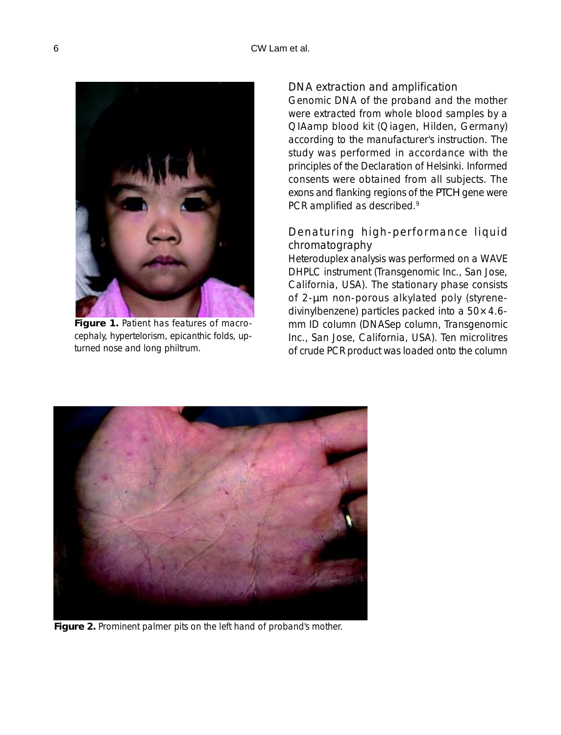

**Figure 1.** Patient has features of macrocephaly, hypertelorism, epicanthic folds, upturned nose and long philtrum.

#### *DNA extraction and amplification*

Genomic DNA of the proband and the mother were extracted from whole blood samples by a QIAamp blood kit (Qiagen, Hilden, Germany) according to the manufacturer's instruction. The study was performed in accordance with the principles of the Declaration of Helsinki. Informed consents were obtained from all subjects. The exons and flanking regions of the *PTCH* gene were PCR amplified as described.<sup>9</sup>

## *Denaturing high-performance liquid chromatography*

Heteroduplex analysis was performed on a WAVE DHPLC instrument (Transgenomic Inc., San Jose, California, USA). The stationary phase consists of 2-µm non-porous alkylated poly (styrenedivinylbenzene) particles packed into a 50×4.6 mm ID column (DNASep column, Transgenomic Inc., San Jose, California, USA). Ten microlitres of crude PCR product was loaded onto the column



**Figure 2.** Prominent palmer pits on the left hand of proband's mother.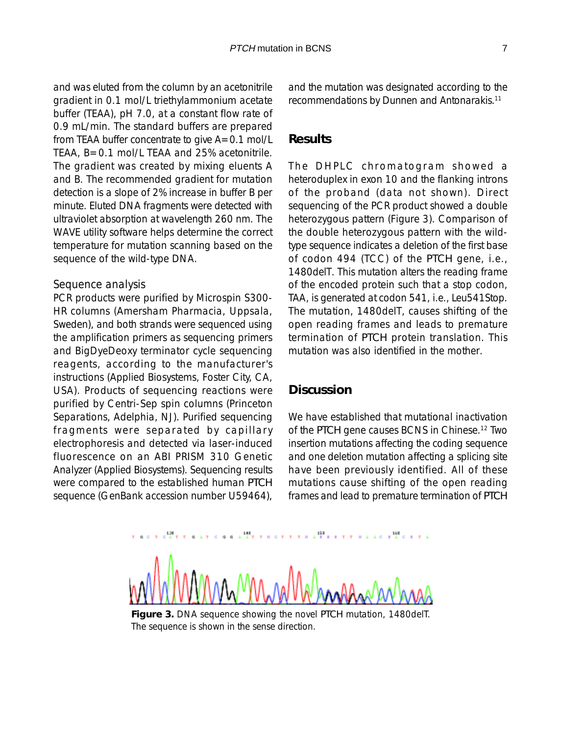and was eluted from the column by an acetonitrile gradient in 0.1 mol/L triethylammonium acetate buffer (TEAA), pH 7.0, at a constant flow rate of 0.9 mL/min. The standard buffers are prepared from TEAA buffer concentrate to give A=0.1 mol/L TEAA, B=0.1 mol/L TEAA and 25% acetonitrile. The gradient was created by mixing eluents A and B. The recommended gradient for mutation detection is a slope of 2% increase in buffer B per minute. Eluted DNA fragments were detected with ultraviolet absorption at wavelength 260 nm. The WAVE utility software helps determine the correct temperature for mutation scanning based on the sequence of the wild-type DNA.

#### *Sequence analysis*

PCR products were purified by Microspin S300- HR columns (Amersham Pharmacia, Uppsala, Sweden), and both strands were sequenced using the amplification primers as sequencing primers and BigDyeDeoxy terminator cycle sequencing reagents, according to the manufacturer's instructions (Applied Biosystems, Foster City, CA, USA). Products of sequencing reactions were purified by Centri-Sep spin columns (Princeton Separations, Adelphia, NJ). Purified sequencing fragments were separated by capillary electrophoresis and detected via laser-induced fluorescence on an ABI PRISM 310 Genetic Analyzer (Applied Biosystems). Sequencing results were compared to the established human *PTCH* sequence (GenBank accession number U59464),

and the mutation was designated according to the recommendations by Dunnen and Antonarakis.11

#### **Results**

The DHPLC chromatogram showed a heteroduplex in exon 10 and the flanking introns of the proband (data not shown). Direct sequencing of the PCR product showed a double heterozygous pattern (Figure 3). Comparison of the double heterozygous pattern with the wildtype sequence indicates a deletion of the first base of codon 494 (TCC) of the *PTCH* gene, i.e., 1480delT. This mutation alters the reading frame of the encoded protein such that a stop codon, TAA, is generated at codon 541, i.e., Leu541Stop. The mutation, 1480delT, causes shifting of the open reading frames and leads to premature termination of *PTCH* protein translation. This mutation was also identified in the mother.

#### **Discussion**

We have established that mutational inactivation of the *PTCH* gene causes BCNS in Chinese.12 Two insertion mutations affecting the coding sequence and one deletion mutation affecting a splicing site have been previously identified. All of these mutations cause shifting of the open reading frames and lead to premature termination of *PTCH*

**Figure 3.** DNA sequence showing the novel *PTCH* mutation, 1480delT. The sequence is shown in the sense direction.